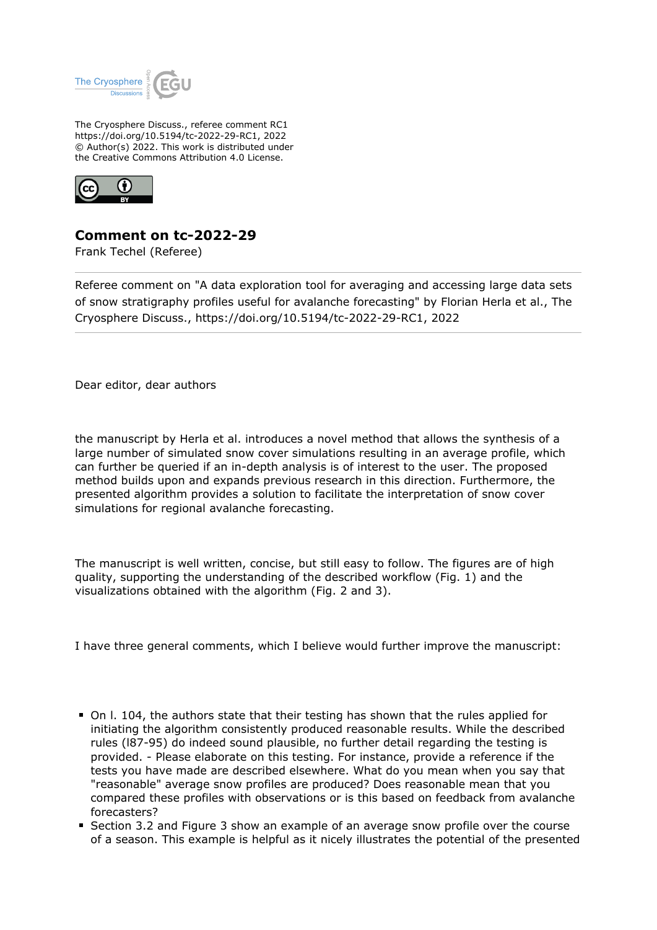

The Cryosphere Discuss., referee comment RC1 https://doi.org/10.5194/tc-2022-29-RC1, 2022 © Author(s) 2022. This work is distributed under the Creative Commons Attribution 4.0 License.



## **Comment on tc-2022-29**

Frank Techel (Referee)

Referee comment on "A data exploration tool for averaging and accessing large data sets of snow stratigraphy profiles useful for avalanche forecasting" by Florian Herla et al., The Cryosphere Discuss., https://doi.org/10.5194/tc-2022-29-RC1, 2022

Dear editor, dear authors

the manuscript by Herla et al. introduces a novel method that allows the synthesis of a large number of simulated snow cover simulations resulting in an average profile, which can further be queried if an in-depth analysis is of interest to the user. The proposed method builds upon and expands previous research in this direction. Furthermore, the presented algorithm provides a solution to facilitate the interpretation of snow cover simulations for regional avalanche forecasting.

The manuscript is well written, concise, but still easy to follow. The figures are of high quality, supporting the understanding of the described workflow (Fig. 1) and the visualizations obtained with the algorithm (Fig. 2 and 3).

I have three general comments, which I believe would further improve the manuscript:

- On l. 104, the authors state that their testing has shown that the rules applied for initiating the algorithm consistently produced reasonable results. While the described rules (l87-95) do indeed sound plausible, no further detail regarding the testing is provided. - Please elaborate on this testing. For instance, provide a reference if the tests you have made are described elsewhere. What do you mean when you say that "reasonable" average snow profiles are produced? Does reasonable mean that you compared these profiles with observations or is this based on feedback from avalanche forecasters?
- Section 3.2 and Figure 3 show an example of an average snow profile over the course of a season. This example is helpful as it nicely illustrates the potential of the presented